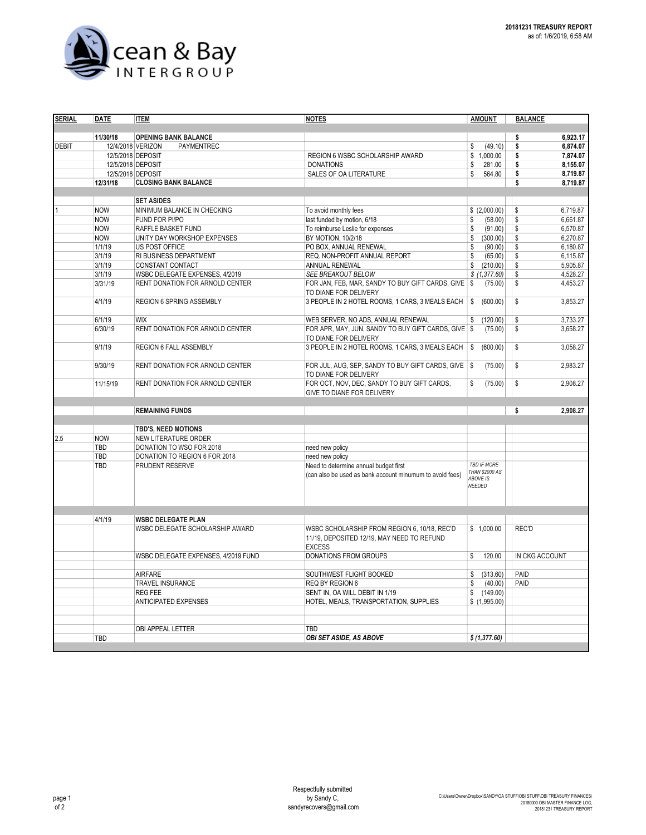

| 11/30/18<br><b>OPENING BANK BALANCE</b><br>6.923.17<br>\$<br>(49.10)<br>6,874.07<br><b>DEBIT</b><br>12/4/2018 VERIZON<br>PAYMENTREC<br>\$<br>\$<br>12/5/2018 DEPOSIT<br><b>REGION 6 WSBC SCHOLARSHIP AWARD</b><br>\$1,000.00<br>\$<br>7.874.07<br>12/5/2018 DEPOSIT<br><b>DONATIONS</b><br>281.00<br>\$<br>8,155.07<br>\$<br>12/5/2018 DEPOSIT<br><b>SALES OF OA LITERATURE</b><br>\$<br>564.80<br>\$<br>12/31/18<br><b>CLOSING BANK BALANCE</b><br>\$<br><b>SET ASIDES</b><br>\$(2,000.00)<br>6,719.87<br><b>NOW</b><br>MINIMUM BALANCE IN CHECKING<br>To avoid monthly fees<br>\$<br>\$<br>6.661.87<br>last funded by motion, 6/18<br>\$<br>(58.00)<br><b>NOW</b><br>FUND FOR PI/PO<br>To reimburse Leslie for expenses<br>\$<br>6,570.87<br><b>NOW</b><br>RAFFLE BASKET FUND<br>(91.00)<br>\$<br>BY MOTION, 10/2/18<br>\$<br>6,270.87<br><b>NOW</b><br>UNITY DAY WORKSHOP EXPENSES<br>\$<br>(300.00)<br>\$<br>1/1/19<br>PO BOX, ANNUAL RENEWAL<br>6,180.87<br>US POST OFFICE<br>\$<br>(90.00)<br>3/1/19<br>REQ. NON-PROFIT ANNUAL REPORT<br>\$<br>6,115.87<br>RI BUSINESS DEPARTMENT<br>\$<br>(65.00)<br>\$<br>5,905.87<br>3/1/19<br>ANNUAL RENEWAL<br>CONSTANT CONTACT<br>\$<br>(210.00)<br>$\sqrt{2}$<br>SEE BREAKOUT BELOW<br>4,528.27<br>3/1/19<br>WSBC DELEGATE EXPENSES, 4/2019<br>\$(1,377.60)<br>\$<br>3/31/19<br>RENT DONATION FOR ARNOLD CENTER<br>FOR JAN, FEB, MAR, SANDY TO BUY GIFT CARDS, GIVE   \$<br>(75.00)<br>4,453.27<br>TO DIANE FOR DELIVERY<br>4/1/19<br>REGION 6 SPRING ASSEMBLY<br>3 PEOPLE IN 2 HOTEL ROOMS, 1 CARS, 3 MEALS EACH<br>\$<br>(600.00)<br>\$<br>6/1/19<br>\$<br><b>WIX</b><br>(120.00)<br>WEB SERVER, NO ADS, ANNUAL RENEWAL<br>\$<br>\$<br>6/30/19<br>RENT DONATION FOR ARNOLD CENTER<br>FOR APR, MAY, JUN, SANDY TO BUY GIFT CARDS, GIVE \$<br>(75.00)<br>TO DIANE FOR DELIVERY<br>9/1/19<br>\$<br>REGION 6 FALL ASSEMBLY<br>3 PEOPLE IN 2 HOTEL ROOMS, 1 CARS, 3 MEALS EACH<br>(600.00)<br>∣\$<br>9/30/19<br>RENT DONATION FOR ARNOLD CENTER<br>FOR JUL, AUG, SEP, SANDY TO BUY GIFT CARDS, GIVE   \$<br>(75.00)<br>\$<br>TO DIANE FOR DELIVERY<br>(75.00)<br>\$<br>2,908.27<br>11/15/19<br>FOR OCT, NOV, DEC, SANDY TO BUY GIFT CARDS,<br>\$<br>RENT DONATION FOR ARNOLD CENTER<br>GIVE TO DIANE FOR DELIVERY<br><b>REMAINING FUNDS</b><br>2,908.27<br>\$<br>TBD'S, NEED MOTIONS<br>2.5<br><b>NOW</b><br>NEW LITERATURE ORDER<br><b>TBD</b><br>DONATION TO WSO FOR 2018<br>need new policy<br>TBD<br>DONATION TO REGION 6 FOR 2018<br>need new policy<br><b>TBD IF MORE</b><br>TBD<br>PRUDENT RESERVE<br>Need to determine annual budget first<br><b>THAN \$2000 AS</b><br>(can also be used as bank account minumum to avoid fees)<br><b>ABOVE IS</b><br>NEEDED<br>4/1/19<br><b>WSBC DELEGATE PLAN</b><br>\$1,000.00<br>WSBC DELEGATE SCHOLARSHIP AWARD<br>WSBC SCHOLARSHIP FROM REGION 6, 10/18, REC'D<br>REC'D<br>11/19, DEPOSITED 12/19, MAY NEED TO REFUND<br><b>EXCESS</b><br>DONATIONS FROM GROUPS<br>\$<br>120.00<br>IN CKG ACCOUNT<br>WSBC DELEGATE EXPENSES, 4/2019 FUND<br><b>AIRFARE</b><br>PAID<br>SOUTHWEST FLIGHT BOOKED<br>(313.60)<br>\$<br>TRAVEL INSURANCE<br><b>REQ BY REGION 6</b><br>PAID<br>(40.00)<br>\$<br><b>REG FEE</b><br>SENT IN, OA WILL DEBIT IN 1/19<br>\$<br>(149.00)<br><b>ANTICIPATED EXPENSES</b><br>HOTEL, MEALS, TRANSPORTATION, SUPPLIES<br>\$(1,995.00)<br>TBD<br>OBI APPEAL LETTER<br>\$ (1,377.60)<br>TBD<br><b>OBI SET ASIDE, AS ABOVE</b> | <b>SERIAL</b> | <b>DATE</b> | <b>ITEM</b> | <b>NOTES</b> | <b>AMOUNT</b> | <b>BALANCE</b> |          |
|-------------------------------------------------------------------------------------------------------------------------------------------------------------------------------------------------------------------------------------------------------------------------------------------------------------------------------------------------------------------------------------------------------------------------------------------------------------------------------------------------------------------------------------------------------------------------------------------------------------------------------------------------------------------------------------------------------------------------------------------------------------------------------------------------------------------------------------------------------------------------------------------------------------------------------------------------------------------------------------------------------------------------------------------------------------------------------------------------------------------------------------------------------------------------------------------------------------------------------------------------------------------------------------------------------------------------------------------------------------------------------------------------------------------------------------------------------------------------------------------------------------------------------------------------------------------------------------------------------------------------------------------------------------------------------------------------------------------------------------------------------------------------------------------------------------------------------------------------------------------------------------------------------------------------------------------------------------------------------------------------------------------------------------------------------------------------------------------------------------------------------------------------------------------------------------------------------------------------------------------------------------------------------------------------------------------------------------------------------------------------------------------------------------------------------------------------------------------------------------------------------------------------------------------------------------------------------------------------------------------------------------------------------------------------------------------------------------------------------------------------------------------------------------------------------------------------------------------------------------------------------------------------------------------------------------------------------------------------------------------------------------------------------------------------------------------------------------------------------------------------------------------------------------------------------------------------------------------------------------------------------------------------------------------------------------------------------------------------------------------------------------------------------------------------------------|---------------|-------------|-------------|--------------|---------------|----------------|----------|
|                                                                                                                                                                                                                                                                                                                                                                                                                                                                                                                                                                                                                                                                                                                                                                                                                                                                                                                                                                                                                                                                                                                                                                                                                                                                                                                                                                                                                                                                                                                                                                                                                                                                                                                                                                                                                                                                                                                                                                                                                                                                                                                                                                                                                                                                                                                                                                                                                                                                                                                                                                                                                                                                                                                                                                                                                                                                                                                                                                                                                                                                                                                                                                                                                                                                                                                                                                                                                                     |               |             |             |              |               |                |          |
|                                                                                                                                                                                                                                                                                                                                                                                                                                                                                                                                                                                                                                                                                                                                                                                                                                                                                                                                                                                                                                                                                                                                                                                                                                                                                                                                                                                                                                                                                                                                                                                                                                                                                                                                                                                                                                                                                                                                                                                                                                                                                                                                                                                                                                                                                                                                                                                                                                                                                                                                                                                                                                                                                                                                                                                                                                                                                                                                                                                                                                                                                                                                                                                                                                                                                                                                                                                                                                     |               |             |             |              |               |                |          |
|                                                                                                                                                                                                                                                                                                                                                                                                                                                                                                                                                                                                                                                                                                                                                                                                                                                                                                                                                                                                                                                                                                                                                                                                                                                                                                                                                                                                                                                                                                                                                                                                                                                                                                                                                                                                                                                                                                                                                                                                                                                                                                                                                                                                                                                                                                                                                                                                                                                                                                                                                                                                                                                                                                                                                                                                                                                                                                                                                                                                                                                                                                                                                                                                                                                                                                                                                                                                                                     |               |             |             |              |               |                |          |
|                                                                                                                                                                                                                                                                                                                                                                                                                                                                                                                                                                                                                                                                                                                                                                                                                                                                                                                                                                                                                                                                                                                                                                                                                                                                                                                                                                                                                                                                                                                                                                                                                                                                                                                                                                                                                                                                                                                                                                                                                                                                                                                                                                                                                                                                                                                                                                                                                                                                                                                                                                                                                                                                                                                                                                                                                                                                                                                                                                                                                                                                                                                                                                                                                                                                                                                                                                                                                                     |               |             |             |              |               |                |          |
|                                                                                                                                                                                                                                                                                                                                                                                                                                                                                                                                                                                                                                                                                                                                                                                                                                                                                                                                                                                                                                                                                                                                                                                                                                                                                                                                                                                                                                                                                                                                                                                                                                                                                                                                                                                                                                                                                                                                                                                                                                                                                                                                                                                                                                                                                                                                                                                                                                                                                                                                                                                                                                                                                                                                                                                                                                                                                                                                                                                                                                                                                                                                                                                                                                                                                                                                                                                                                                     |               |             |             |              |               |                |          |
|                                                                                                                                                                                                                                                                                                                                                                                                                                                                                                                                                                                                                                                                                                                                                                                                                                                                                                                                                                                                                                                                                                                                                                                                                                                                                                                                                                                                                                                                                                                                                                                                                                                                                                                                                                                                                                                                                                                                                                                                                                                                                                                                                                                                                                                                                                                                                                                                                                                                                                                                                                                                                                                                                                                                                                                                                                                                                                                                                                                                                                                                                                                                                                                                                                                                                                                                                                                                                                     |               |             |             |              |               |                | 8,719.87 |
|                                                                                                                                                                                                                                                                                                                                                                                                                                                                                                                                                                                                                                                                                                                                                                                                                                                                                                                                                                                                                                                                                                                                                                                                                                                                                                                                                                                                                                                                                                                                                                                                                                                                                                                                                                                                                                                                                                                                                                                                                                                                                                                                                                                                                                                                                                                                                                                                                                                                                                                                                                                                                                                                                                                                                                                                                                                                                                                                                                                                                                                                                                                                                                                                                                                                                                                                                                                                                                     |               |             |             |              |               |                | 8,719.87 |
|                                                                                                                                                                                                                                                                                                                                                                                                                                                                                                                                                                                                                                                                                                                                                                                                                                                                                                                                                                                                                                                                                                                                                                                                                                                                                                                                                                                                                                                                                                                                                                                                                                                                                                                                                                                                                                                                                                                                                                                                                                                                                                                                                                                                                                                                                                                                                                                                                                                                                                                                                                                                                                                                                                                                                                                                                                                                                                                                                                                                                                                                                                                                                                                                                                                                                                                                                                                                                                     |               |             |             |              |               |                |          |
|                                                                                                                                                                                                                                                                                                                                                                                                                                                                                                                                                                                                                                                                                                                                                                                                                                                                                                                                                                                                                                                                                                                                                                                                                                                                                                                                                                                                                                                                                                                                                                                                                                                                                                                                                                                                                                                                                                                                                                                                                                                                                                                                                                                                                                                                                                                                                                                                                                                                                                                                                                                                                                                                                                                                                                                                                                                                                                                                                                                                                                                                                                                                                                                                                                                                                                                                                                                                                                     |               |             |             |              |               |                |          |
|                                                                                                                                                                                                                                                                                                                                                                                                                                                                                                                                                                                                                                                                                                                                                                                                                                                                                                                                                                                                                                                                                                                                                                                                                                                                                                                                                                                                                                                                                                                                                                                                                                                                                                                                                                                                                                                                                                                                                                                                                                                                                                                                                                                                                                                                                                                                                                                                                                                                                                                                                                                                                                                                                                                                                                                                                                                                                                                                                                                                                                                                                                                                                                                                                                                                                                                                                                                                                                     |               |             |             |              |               |                |          |
|                                                                                                                                                                                                                                                                                                                                                                                                                                                                                                                                                                                                                                                                                                                                                                                                                                                                                                                                                                                                                                                                                                                                                                                                                                                                                                                                                                                                                                                                                                                                                                                                                                                                                                                                                                                                                                                                                                                                                                                                                                                                                                                                                                                                                                                                                                                                                                                                                                                                                                                                                                                                                                                                                                                                                                                                                                                                                                                                                                                                                                                                                                                                                                                                                                                                                                                                                                                                                                     |               |             |             |              |               |                |          |
|                                                                                                                                                                                                                                                                                                                                                                                                                                                                                                                                                                                                                                                                                                                                                                                                                                                                                                                                                                                                                                                                                                                                                                                                                                                                                                                                                                                                                                                                                                                                                                                                                                                                                                                                                                                                                                                                                                                                                                                                                                                                                                                                                                                                                                                                                                                                                                                                                                                                                                                                                                                                                                                                                                                                                                                                                                                                                                                                                                                                                                                                                                                                                                                                                                                                                                                                                                                                                                     |               |             |             |              |               |                |          |
|                                                                                                                                                                                                                                                                                                                                                                                                                                                                                                                                                                                                                                                                                                                                                                                                                                                                                                                                                                                                                                                                                                                                                                                                                                                                                                                                                                                                                                                                                                                                                                                                                                                                                                                                                                                                                                                                                                                                                                                                                                                                                                                                                                                                                                                                                                                                                                                                                                                                                                                                                                                                                                                                                                                                                                                                                                                                                                                                                                                                                                                                                                                                                                                                                                                                                                                                                                                                                                     |               |             |             |              |               |                |          |
|                                                                                                                                                                                                                                                                                                                                                                                                                                                                                                                                                                                                                                                                                                                                                                                                                                                                                                                                                                                                                                                                                                                                                                                                                                                                                                                                                                                                                                                                                                                                                                                                                                                                                                                                                                                                                                                                                                                                                                                                                                                                                                                                                                                                                                                                                                                                                                                                                                                                                                                                                                                                                                                                                                                                                                                                                                                                                                                                                                                                                                                                                                                                                                                                                                                                                                                                                                                                                                     |               |             |             |              |               |                |          |
|                                                                                                                                                                                                                                                                                                                                                                                                                                                                                                                                                                                                                                                                                                                                                                                                                                                                                                                                                                                                                                                                                                                                                                                                                                                                                                                                                                                                                                                                                                                                                                                                                                                                                                                                                                                                                                                                                                                                                                                                                                                                                                                                                                                                                                                                                                                                                                                                                                                                                                                                                                                                                                                                                                                                                                                                                                                                                                                                                                                                                                                                                                                                                                                                                                                                                                                                                                                                                                     |               |             |             |              |               |                |          |
|                                                                                                                                                                                                                                                                                                                                                                                                                                                                                                                                                                                                                                                                                                                                                                                                                                                                                                                                                                                                                                                                                                                                                                                                                                                                                                                                                                                                                                                                                                                                                                                                                                                                                                                                                                                                                                                                                                                                                                                                                                                                                                                                                                                                                                                                                                                                                                                                                                                                                                                                                                                                                                                                                                                                                                                                                                                                                                                                                                                                                                                                                                                                                                                                                                                                                                                                                                                                                                     |               |             |             |              |               |                |          |
|                                                                                                                                                                                                                                                                                                                                                                                                                                                                                                                                                                                                                                                                                                                                                                                                                                                                                                                                                                                                                                                                                                                                                                                                                                                                                                                                                                                                                                                                                                                                                                                                                                                                                                                                                                                                                                                                                                                                                                                                                                                                                                                                                                                                                                                                                                                                                                                                                                                                                                                                                                                                                                                                                                                                                                                                                                                                                                                                                                                                                                                                                                                                                                                                                                                                                                                                                                                                                                     |               |             |             |              |               |                |          |
|                                                                                                                                                                                                                                                                                                                                                                                                                                                                                                                                                                                                                                                                                                                                                                                                                                                                                                                                                                                                                                                                                                                                                                                                                                                                                                                                                                                                                                                                                                                                                                                                                                                                                                                                                                                                                                                                                                                                                                                                                                                                                                                                                                                                                                                                                                                                                                                                                                                                                                                                                                                                                                                                                                                                                                                                                                                                                                                                                                                                                                                                                                                                                                                                                                                                                                                                                                                                                                     |               |             |             |              |               |                |          |
|                                                                                                                                                                                                                                                                                                                                                                                                                                                                                                                                                                                                                                                                                                                                                                                                                                                                                                                                                                                                                                                                                                                                                                                                                                                                                                                                                                                                                                                                                                                                                                                                                                                                                                                                                                                                                                                                                                                                                                                                                                                                                                                                                                                                                                                                                                                                                                                                                                                                                                                                                                                                                                                                                                                                                                                                                                                                                                                                                                                                                                                                                                                                                                                                                                                                                                                                                                                                                                     |               |             |             |              |               |                | 3,853.27 |
|                                                                                                                                                                                                                                                                                                                                                                                                                                                                                                                                                                                                                                                                                                                                                                                                                                                                                                                                                                                                                                                                                                                                                                                                                                                                                                                                                                                                                                                                                                                                                                                                                                                                                                                                                                                                                                                                                                                                                                                                                                                                                                                                                                                                                                                                                                                                                                                                                                                                                                                                                                                                                                                                                                                                                                                                                                                                                                                                                                                                                                                                                                                                                                                                                                                                                                                                                                                                                                     |               |             |             |              |               |                | 3,733.27 |
|                                                                                                                                                                                                                                                                                                                                                                                                                                                                                                                                                                                                                                                                                                                                                                                                                                                                                                                                                                                                                                                                                                                                                                                                                                                                                                                                                                                                                                                                                                                                                                                                                                                                                                                                                                                                                                                                                                                                                                                                                                                                                                                                                                                                                                                                                                                                                                                                                                                                                                                                                                                                                                                                                                                                                                                                                                                                                                                                                                                                                                                                                                                                                                                                                                                                                                                                                                                                                                     |               |             |             |              |               |                | 3,658.27 |
|                                                                                                                                                                                                                                                                                                                                                                                                                                                                                                                                                                                                                                                                                                                                                                                                                                                                                                                                                                                                                                                                                                                                                                                                                                                                                                                                                                                                                                                                                                                                                                                                                                                                                                                                                                                                                                                                                                                                                                                                                                                                                                                                                                                                                                                                                                                                                                                                                                                                                                                                                                                                                                                                                                                                                                                                                                                                                                                                                                                                                                                                                                                                                                                                                                                                                                                                                                                                                                     |               |             |             |              |               |                | 3,058.27 |
|                                                                                                                                                                                                                                                                                                                                                                                                                                                                                                                                                                                                                                                                                                                                                                                                                                                                                                                                                                                                                                                                                                                                                                                                                                                                                                                                                                                                                                                                                                                                                                                                                                                                                                                                                                                                                                                                                                                                                                                                                                                                                                                                                                                                                                                                                                                                                                                                                                                                                                                                                                                                                                                                                                                                                                                                                                                                                                                                                                                                                                                                                                                                                                                                                                                                                                                                                                                                                                     |               |             |             |              |               |                | 2,983.27 |
|                                                                                                                                                                                                                                                                                                                                                                                                                                                                                                                                                                                                                                                                                                                                                                                                                                                                                                                                                                                                                                                                                                                                                                                                                                                                                                                                                                                                                                                                                                                                                                                                                                                                                                                                                                                                                                                                                                                                                                                                                                                                                                                                                                                                                                                                                                                                                                                                                                                                                                                                                                                                                                                                                                                                                                                                                                                                                                                                                                                                                                                                                                                                                                                                                                                                                                                                                                                                                                     |               |             |             |              |               |                |          |
|                                                                                                                                                                                                                                                                                                                                                                                                                                                                                                                                                                                                                                                                                                                                                                                                                                                                                                                                                                                                                                                                                                                                                                                                                                                                                                                                                                                                                                                                                                                                                                                                                                                                                                                                                                                                                                                                                                                                                                                                                                                                                                                                                                                                                                                                                                                                                                                                                                                                                                                                                                                                                                                                                                                                                                                                                                                                                                                                                                                                                                                                                                                                                                                                                                                                                                                                                                                                                                     |               |             |             |              |               |                |          |
|                                                                                                                                                                                                                                                                                                                                                                                                                                                                                                                                                                                                                                                                                                                                                                                                                                                                                                                                                                                                                                                                                                                                                                                                                                                                                                                                                                                                                                                                                                                                                                                                                                                                                                                                                                                                                                                                                                                                                                                                                                                                                                                                                                                                                                                                                                                                                                                                                                                                                                                                                                                                                                                                                                                                                                                                                                                                                                                                                                                                                                                                                                                                                                                                                                                                                                                                                                                                                                     |               |             |             |              |               |                |          |
|                                                                                                                                                                                                                                                                                                                                                                                                                                                                                                                                                                                                                                                                                                                                                                                                                                                                                                                                                                                                                                                                                                                                                                                                                                                                                                                                                                                                                                                                                                                                                                                                                                                                                                                                                                                                                                                                                                                                                                                                                                                                                                                                                                                                                                                                                                                                                                                                                                                                                                                                                                                                                                                                                                                                                                                                                                                                                                                                                                                                                                                                                                                                                                                                                                                                                                                                                                                                                                     |               |             |             |              |               |                |          |
|                                                                                                                                                                                                                                                                                                                                                                                                                                                                                                                                                                                                                                                                                                                                                                                                                                                                                                                                                                                                                                                                                                                                                                                                                                                                                                                                                                                                                                                                                                                                                                                                                                                                                                                                                                                                                                                                                                                                                                                                                                                                                                                                                                                                                                                                                                                                                                                                                                                                                                                                                                                                                                                                                                                                                                                                                                                                                                                                                                                                                                                                                                                                                                                                                                                                                                                                                                                                                                     |               |             |             |              |               |                |          |
|                                                                                                                                                                                                                                                                                                                                                                                                                                                                                                                                                                                                                                                                                                                                                                                                                                                                                                                                                                                                                                                                                                                                                                                                                                                                                                                                                                                                                                                                                                                                                                                                                                                                                                                                                                                                                                                                                                                                                                                                                                                                                                                                                                                                                                                                                                                                                                                                                                                                                                                                                                                                                                                                                                                                                                                                                                                                                                                                                                                                                                                                                                                                                                                                                                                                                                                                                                                                                                     |               |             |             |              |               |                |          |
|                                                                                                                                                                                                                                                                                                                                                                                                                                                                                                                                                                                                                                                                                                                                                                                                                                                                                                                                                                                                                                                                                                                                                                                                                                                                                                                                                                                                                                                                                                                                                                                                                                                                                                                                                                                                                                                                                                                                                                                                                                                                                                                                                                                                                                                                                                                                                                                                                                                                                                                                                                                                                                                                                                                                                                                                                                                                                                                                                                                                                                                                                                                                                                                                                                                                                                                                                                                                                                     |               |             |             |              |               |                |          |
|                                                                                                                                                                                                                                                                                                                                                                                                                                                                                                                                                                                                                                                                                                                                                                                                                                                                                                                                                                                                                                                                                                                                                                                                                                                                                                                                                                                                                                                                                                                                                                                                                                                                                                                                                                                                                                                                                                                                                                                                                                                                                                                                                                                                                                                                                                                                                                                                                                                                                                                                                                                                                                                                                                                                                                                                                                                                                                                                                                                                                                                                                                                                                                                                                                                                                                                                                                                                                                     |               |             |             |              |               |                |          |
|                                                                                                                                                                                                                                                                                                                                                                                                                                                                                                                                                                                                                                                                                                                                                                                                                                                                                                                                                                                                                                                                                                                                                                                                                                                                                                                                                                                                                                                                                                                                                                                                                                                                                                                                                                                                                                                                                                                                                                                                                                                                                                                                                                                                                                                                                                                                                                                                                                                                                                                                                                                                                                                                                                                                                                                                                                                                                                                                                                                                                                                                                                                                                                                                                                                                                                                                                                                                                                     |               |             |             |              |               |                |          |
|                                                                                                                                                                                                                                                                                                                                                                                                                                                                                                                                                                                                                                                                                                                                                                                                                                                                                                                                                                                                                                                                                                                                                                                                                                                                                                                                                                                                                                                                                                                                                                                                                                                                                                                                                                                                                                                                                                                                                                                                                                                                                                                                                                                                                                                                                                                                                                                                                                                                                                                                                                                                                                                                                                                                                                                                                                                                                                                                                                                                                                                                                                                                                                                                                                                                                                                                                                                                                                     |               |             |             |              |               |                |          |
|                                                                                                                                                                                                                                                                                                                                                                                                                                                                                                                                                                                                                                                                                                                                                                                                                                                                                                                                                                                                                                                                                                                                                                                                                                                                                                                                                                                                                                                                                                                                                                                                                                                                                                                                                                                                                                                                                                                                                                                                                                                                                                                                                                                                                                                                                                                                                                                                                                                                                                                                                                                                                                                                                                                                                                                                                                                                                                                                                                                                                                                                                                                                                                                                                                                                                                                                                                                                                                     |               |             |             |              |               |                |          |
|                                                                                                                                                                                                                                                                                                                                                                                                                                                                                                                                                                                                                                                                                                                                                                                                                                                                                                                                                                                                                                                                                                                                                                                                                                                                                                                                                                                                                                                                                                                                                                                                                                                                                                                                                                                                                                                                                                                                                                                                                                                                                                                                                                                                                                                                                                                                                                                                                                                                                                                                                                                                                                                                                                                                                                                                                                                                                                                                                                                                                                                                                                                                                                                                                                                                                                                                                                                                                                     |               |             |             |              |               |                |          |
|                                                                                                                                                                                                                                                                                                                                                                                                                                                                                                                                                                                                                                                                                                                                                                                                                                                                                                                                                                                                                                                                                                                                                                                                                                                                                                                                                                                                                                                                                                                                                                                                                                                                                                                                                                                                                                                                                                                                                                                                                                                                                                                                                                                                                                                                                                                                                                                                                                                                                                                                                                                                                                                                                                                                                                                                                                                                                                                                                                                                                                                                                                                                                                                                                                                                                                                                                                                                                                     |               |             |             |              |               |                |          |
|                                                                                                                                                                                                                                                                                                                                                                                                                                                                                                                                                                                                                                                                                                                                                                                                                                                                                                                                                                                                                                                                                                                                                                                                                                                                                                                                                                                                                                                                                                                                                                                                                                                                                                                                                                                                                                                                                                                                                                                                                                                                                                                                                                                                                                                                                                                                                                                                                                                                                                                                                                                                                                                                                                                                                                                                                                                                                                                                                                                                                                                                                                                                                                                                                                                                                                                                                                                                                                     |               |             |             |              |               |                |          |
|                                                                                                                                                                                                                                                                                                                                                                                                                                                                                                                                                                                                                                                                                                                                                                                                                                                                                                                                                                                                                                                                                                                                                                                                                                                                                                                                                                                                                                                                                                                                                                                                                                                                                                                                                                                                                                                                                                                                                                                                                                                                                                                                                                                                                                                                                                                                                                                                                                                                                                                                                                                                                                                                                                                                                                                                                                                                                                                                                                                                                                                                                                                                                                                                                                                                                                                                                                                                                                     |               |             |             |              |               |                |          |
|                                                                                                                                                                                                                                                                                                                                                                                                                                                                                                                                                                                                                                                                                                                                                                                                                                                                                                                                                                                                                                                                                                                                                                                                                                                                                                                                                                                                                                                                                                                                                                                                                                                                                                                                                                                                                                                                                                                                                                                                                                                                                                                                                                                                                                                                                                                                                                                                                                                                                                                                                                                                                                                                                                                                                                                                                                                                                                                                                                                                                                                                                                                                                                                                                                                                                                                                                                                                                                     |               |             |             |              |               |                |          |
|                                                                                                                                                                                                                                                                                                                                                                                                                                                                                                                                                                                                                                                                                                                                                                                                                                                                                                                                                                                                                                                                                                                                                                                                                                                                                                                                                                                                                                                                                                                                                                                                                                                                                                                                                                                                                                                                                                                                                                                                                                                                                                                                                                                                                                                                                                                                                                                                                                                                                                                                                                                                                                                                                                                                                                                                                                                                                                                                                                                                                                                                                                                                                                                                                                                                                                                                                                                                                                     |               |             |             |              |               |                |          |
|                                                                                                                                                                                                                                                                                                                                                                                                                                                                                                                                                                                                                                                                                                                                                                                                                                                                                                                                                                                                                                                                                                                                                                                                                                                                                                                                                                                                                                                                                                                                                                                                                                                                                                                                                                                                                                                                                                                                                                                                                                                                                                                                                                                                                                                                                                                                                                                                                                                                                                                                                                                                                                                                                                                                                                                                                                                                                                                                                                                                                                                                                                                                                                                                                                                                                                                                                                                                                                     |               |             |             |              |               |                |          |
|                                                                                                                                                                                                                                                                                                                                                                                                                                                                                                                                                                                                                                                                                                                                                                                                                                                                                                                                                                                                                                                                                                                                                                                                                                                                                                                                                                                                                                                                                                                                                                                                                                                                                                                                                                                                                                                                                                                                                                                                                                                                                                                                                                                                                                                                                                                                                                                                                                                                                                                                                                                                                                                                                                                                                                                                                                                                                                                                                                                                                                                                                                                                                                                                                                                                                                                                                                                                                                     |               |             |             |              |               |                |          |
|                                                                                                                                                                                                                                                                                                                                                                                                                                                                                                                                                                                                                                                                                                                                                                                                                                                                                                                                                                                                                                                                                                                                                                                                                                                                                                                                                                                                                                                                                                                                                                                                                                                                                                                                                                                                                                                                                                                                                                                                                                                                                                                                                                                                                                                                                                                                                                                                                                                                                                                                                                                                                                                                                                                                                                                                                                                                                                                                                                                                                                                                                                                                                                                                                                                                                                                                                                                                                                     |               |             |             |              |               |                |          |
|                                                                                                                                                                                                                                                                                                                                                                                                                                                                                                                                                                                                                                                                                                                                                                                                                                                                                                                                                                                                                                                                                                                                                                                                                                                                                                                                                                                                                                                                                                                                                                                                                                                                                                                                                                                                                                                                                                                                                                                                                                                                                                                                                                                                                                                                                                                                                                                                                                                                                                                                                                                                                                                                                                                                                                                                                                                                                                                                                                                                                                                                                                                                                                                                                                                                                                                                                                                                                                     |               |             |             |              |               |                |          |
|                                                                                                                                                                                                                                                                                                                                                                                                                                                                                                                                                                                                                                                                                                                                                                                                                                                                                                                                                                                                                                                                                                                                                                                                                                                                                                                                                                                                                                                                                                                                                                                                                                                                                                                                                                                                                                                                                                                                                                                                                                                                                                                                                                                                                                                                                                                                                                                                                                                                                                                                                                                                                                                                                                                                                                                                                                                                                                                                                                                                                                                                                                                                                                                                                                                                                                                                                                                                                                     |               |             |             |              |               |                |          |